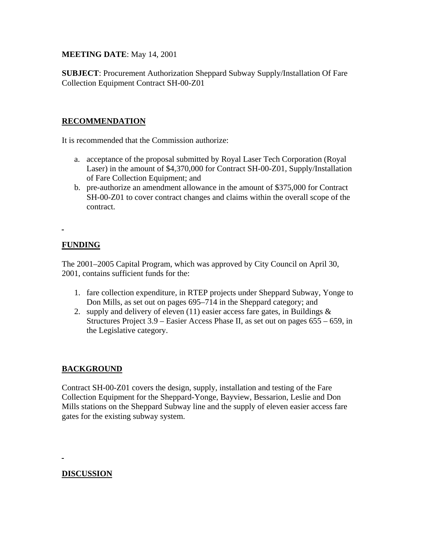**MEETING DATE**: May 14, 2001

**SUBJECT**: Procurement Authorization Sheppard Subway Supply/Installation Of Fare Collection Equipment Contract SH-00-Z01

## **RECOMMENDATION**

It is recommended that the Commission authorize:

- a. acceptance of the proposal submitted by Royal Laser Tech Corporation (Royal Laser) in the amount of \$4,370,000 for Contract SH-00-Z01, Supply/Installation of Fare Collection Equipment; and
- b. pre-authorize an amendment allowance in the amount of \$375,000 for Contract SH-00-Z01 to cover contract changes and claims within the overall scope of the contract.

# **FUNDING**

L.

The 2001–2005 Capital Program, which was approved by City Council on April 30, 2001, contains sufficient funds for the:

- 1. fare collection expenditure, in RTEP projects under Sheppard Subway, Yonge to Don Mills, as set out on pages 695–714 in the Sheppard category; and
- 2. supply and delivery of eleven  $(11)$  easier access fare gates, in Buildings  $\&$ Structures Project 3.9 – Easier Access Phase II, as set out on pages 655 – 659, in the Legislative category.

## **BACKGROUND**

Contract SH-00-Z01 covers the design, supply, installation and testing of the Fare Collection Equipment for the Sheppard-Yonge, Bayview, Bessarion, Leslie and Don Mills stations on the Sheppard Subway line and the supply of eleven easier access fare gates for the existing subway system.

## **DISCUSSION**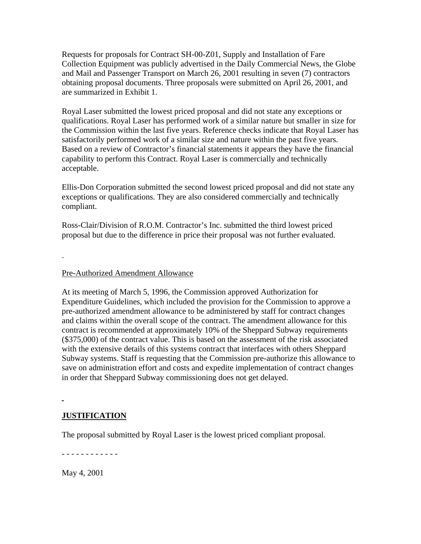Requests for proposals for Contract SH-00-Z01, Supply and Installation of Fare Collection Equipment was publicly advertised in the Daily Commercial News, the Globe and Mail and Passenger Transport on March 26, 2001 resulting in seven (7) contractors obtaining proposal documents. Three proposals were submitted on April 26, 2001, and are summarized in Exhibit 1.

Royal Laser submitted the lowest priced proposal and did not state any exceptions or qualifications. Royal Laser has performed work of a similar nature but smaller in size for the Commission within the last five years. Reference checks indicate that Royal Laser has satisfactorily performed work of a similar size and nature within the past five years. Based on a review of Contractor's financial statements it appears they have the financial capability to perform this Contract. Royal Laser is commercially and technically acceptable.

Ellis-Don Corporation submitted the second lowest priced proposal and did not state any exceptions or qualifications. They are also considered commercially and technically compliant.

Ross-Clair/Division of R.O.M. Contractor's Inc. submitted the third lowest priced proposal but due to the difference in price their proposal was not further evaluated.

#### Pre-Authorized Amendment Allowance

At its meeting of March 5, 1996, the Commission approved Authorization for Expenditure Guidelines, which included the provision for the Commission to approve a pre-authorized amendment allowance to be administered by staff for contract changes and claims within the overall scope of the contract. The amendment allowance for this contract is recommended at approximately 10% of the Sheppard Subway requirements (\$375,000) of the contract value. This is based on the assessment of the risk associated with the extensive details of this systems contract that interfaces with others Sheppard Subway systems. Staff is requesting that the Commission pre-authorize this allowance to save on administration effort and costs and expedite implementation of contract changes in order that Sheppard Subway commissioning does not get delayed.

#### **JUSTIFICATION**

The proposal submitted by Royal Laser is the lowest priced compliant proposal.

- - - - - - - - - - - -

May 4, 2001